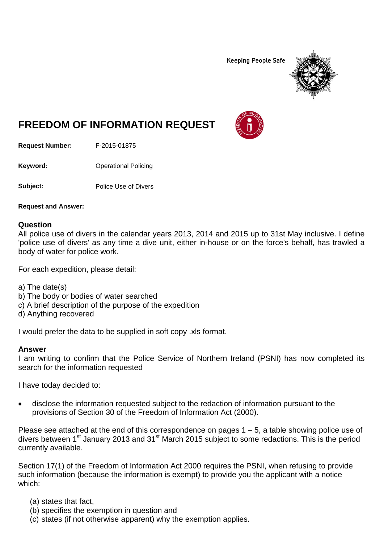**Keeping People Safe** 



# **FREEDOM OF INFORMATION REQUEST**

**Request Number:** F-2015-01875

**Keyword:** Operational Policing

**Subject:** Police Use of Divers

**Request and Answer:**

## **Question**

All police use of divers in the calendar years 2013, 2014 and 2015 up to 31st May inclusive. I define 'police use of divers' as any time a dive unit, either in-house or on the force's behalf, has trawled a body of water for police work.

For each expedition, please detail:

- a) The date(s)
- b) The body or bodies of water searched
- c) A brief description of the purpose of the expedition
- d) Anything recovered

I would prefer the data to be supplied in soft copy .xls format.

#### **Answer**

I am writing to confirm that the Police Service of Northern Ireland (PSNI) has now completed its search for the information requested

I have today decided to:

• disclose the information requested subject to the redaction of information pursuant to the provisions of Section 30 of the Freedom of Information Act (2000).

Please see attached at the end of this correspondence on pages  $1 - 5$ , a table showing police use of divers between 1st January 2013 and 31st March 2015 subject to some redactions. This is the period currently available.

Section 17(1) of the Freedom of Information Act 2000 requires the PSNI, when refusing to provide such information (because the information is exempt) to provide you the applicant with a notice which:

- (a) states that fact,
- (b) specifies the exemption in question and
- (c) states (if not otherwise apparent) why the exemption applies.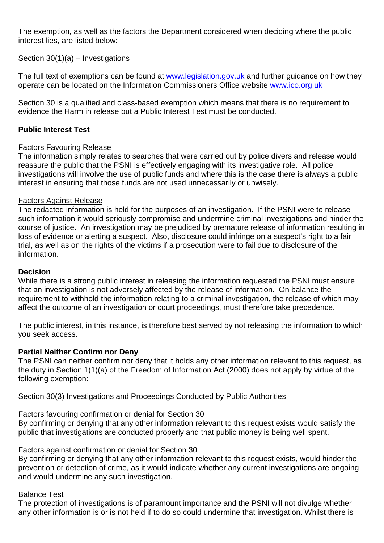The exemption, as well as the factors the Department considered when deciding where the public interest lies, are listed below:

Section 30(1)(a) – Investigations

The full text of exemptions can be found at [www.legislation.gov.uk](http://www.legislation.gov.uk/) and further guidance on how they operate can be located on the Information Commissioners Office website [www.ico.org.uk](http://www.ico.org.uk/)

Section 30 is a qualified and class-based exemption which means that there is no requirement to evidence the Harm in release but a Public Interest Test must be conducted.

# **Public Interest Test**

## Factors Favouring Release

The information simply relates to searches that were carried out by police divers and release would reassure the public that the PSNI is effectively engaging with its investigative role. All police investigations will involve the use of public funds and where this is the case there is always a public interest in ensuring that those funds are not used unnecessarily or unwisely.

## Factors Against Release

The redacted information is held for the purposes of an investigation. If the PSNI were to release such information it would seriously compromise and undermine criminal investigations and hinder the course of justice. An investigation may be prejudiced by premature release of information resulting in loss of evidence or alerting a suspect. Also, disclosure could infringe on a suspect's right to a fair trial, as well as on the rights of the victims if a prosecution were to fail due to disclosure of the information.

#### **Decision**

While there is a strong public interest in releasing the information requested the PSNI must ensure that an investigation is not adversely affected by the release of information. On balance the requirement to withhold the information relating to a criminal investigation, the release of which may affect the outcome of an investigation or court proceedings, must therefore take precedence.

The public interest, in this instance, is therefore best served by not releasing the information to which you seek access.

## **Partial Neither Confirm nor Deny**

The PSNI can neither confirm nor deny that it holds any other information relevant to this request, as the duty in Section 1(1)(a) of the Freedom of Information Act (2000) does not apply by virtue of the following exemption:

Section 30(3) Investigations and Proceedings Conducted by Public Authorities

#### Factors favouring confirmation or denial for Section 30

By confirming or denying that any other information relevant to this request exists would satisfy the public that investigations are conducted properly and that public money is being well spent.

## Factors against confirmation or denial for Section 30

By confirming or denying that any other information relevant to this request exists, would hinder the prevention or detection of crime, as it would indicate whether any current investigations are ongoing and would undermine any such investigation.

## Balance Test

The protection of investigations is of paramount importance and the PSNI will not divulge whether any other information is or is not held if to do so could undermine that investigation. Whilst there is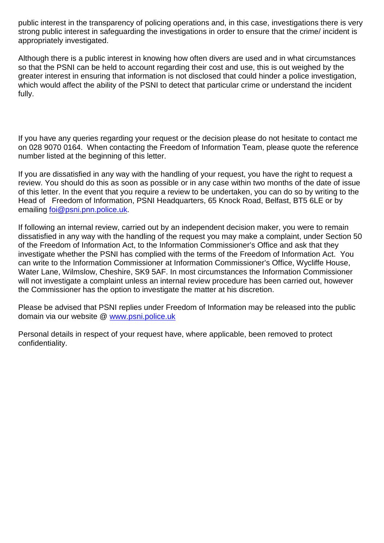public interest in the transparency of policing operations and, in this case, investigations there is very strong public interest in safeguarding the investigations in order to ensure that the crime/ incident is appropriately investigated.

Although there is a public interest in knowing how often divers are used and in what circumstances so that the PSNI can be held to account regarding their cost and use, this is out weighed by the greater interest in ensuring that information is not disclosed that could hinder a police investigation, which would affect the ability of the PSNI to detect that particular crime or understand the incident fully.

If you have any queries regarding your request or the decision please do not hesitate to contact me on 028 9070 0164. When contacting the Freedom of Information Team, please quote the reference number listed at the beginning of this letter.

If you are dissatisfied in any way with the handling of your request, you have the right to request a review. You should do this as soon as possible or in any case within two months of the date of issue of this letter. In the event that you require a review to be undertaken, you can do so by writing to the Head of Freedom of Information, PSNI Headquarters, 65 Knock Road, Belfast, BT5 6LE or by emailing [foi@psni.pnn.police.uk.](mailto:foi@psni.pnn.police.uk)

If following an internal review, carried out by an independent decision maker, you were to remain dissatisfied in any way with the handling of the request you may make a complaint, under Section 50 of the Freedom of Information Act, to the Information Commissioner's Office and ask that they investigate whether the PSNI has complied with the terms of the Freedom of Information Act. You can write to the Information Commissioner at Information Commissioner's Office, Wycliffe House, Water Lane, Wilmslow, Cheshire, SK9 5AF. In most circumstances the Information Commissioner will not investigate a complaint unless an internal review procedure has been carried out, however the Commissioner has the option to investigate the matter at his discretion.

Please be advised that PSNI replies under Freedom of Information may be released into the public domain via our website @ [www.psni.police.uk](http://www.psni.police.uk/)

Personal details in respect of your request have, where applicable, been removed to protect confidentiality.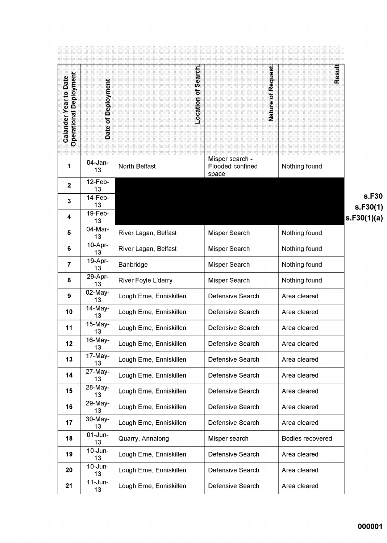|                                                               |                             |                         |                           | Result           |              |
|---------------------------------------------------------------|-----------------------------|-------------------------|---------------------------|------------------|--------------|
| <b>Operational Deployment</b><br><b>Calander Year to Date</b> |                             | Location of Search      | of Request                |                  |              |
|                                                               | Date of Deployment          |                         |                           |                  |              |
|                                                               |                             |                         | <b>Nature</b>             |                  |              |
|                                                               |                             |                         |                           |                  |              |
|                                                               |                             |                         |                           |                  |              |
|                                                               |                             |                         |                           |                  |              |
|                                                               |                             |                         | Misper search -           |                  |              |
| 1                                                             | $04$ -Jan-<br>13            | North Belfast           | Flooded confined<br>space | Nothing found    |              |
| $\mathbf{2}$                                                  | $12-Feb-$<br>13             |                         |                           |                  |              |
| 3                                                             | 14-Feb-<br>13               |                         |                           |                  | s.l<br>s.F30 |
| 4                                                             | 19-Feb-<br>13               |                         |                           |                  | s.F30(1)     |
| 5                                                             | 04-Mar-<br>13               | River Lagan, Belfast    | Misper Search             | Nothing found    |              |
| $6\phantom{a}$                                                | 10-Apr-<br>13               | River Lagan, Belfast    | <b>Misper Search</b>      | Nothing found    |              |
| $\overline{7}$                                                | 19-Apr-<br>13               | Banbridge               | Misper Search             | Nothing found    |              |
| 8                                                             | 29-Apr-<br>13               | River Foyle L'derry     | Misper Search             | Nothing found    |              |
| 9                                                             | 02-May-<br>13               | Lough Erne, Enniskillen | Defensive Search          | Area cleared     |              |
| 10                                                            | 14-May-<br>13               | Lough Erne, Enniskillen | Defensive Search          | Area cleared     |              |
| 11                                                            | 15-May-<br>13               | Lough Erne, Enniskillen | Defensive Search          | Area cleared     |              |
| 12                                                            | 16-May-<br>13               | Lough Erne, Enniskillen | Defensive Search          | Area cleared     |              |
| 13                                                            | $\overline{17}$ -May-<br>13 | Lough Erne, Enniskillen | Defensive Search          | Area cleared     |              |
| 14                                                            | 27-May-<br>13               | Lough Erne, Enniskillen | Defensive Search          | Area cleared     |              |
| 15                                                            | 28-May-<br>13               | Lough Erne, Enniskillen | Defensive Search          | Area cleared     |              |
| 16                                                            | 29-May-<br>13               | Lough Erne, Enniskillen | Defensive Search          | Area cleared     |              |
| 17                                                            | 30-May-<br>13               | Lough Erne, Enniskillen | Defensive Search          | Area cleared     |              |
| 18                                                            | $01$ -Jun-<br>13            | Quarry, Annalong        | Misper search             | Bodies recovered |              |
| 19                                                            | $10$ -Jun-<br>13            | Lough Erne, Enniskillen | Defensive Search          | Area cleared     |              |
| 20                                                            | 10-Jun-<br>13               | Lough Erne, Enniskillen | Defensive Search          | Area cleared     |              |
| 21                                                            | $11$ -Jun-<br>13            | Lough Erne, Enniskillen | Defensive Search          | Area cleared     |              |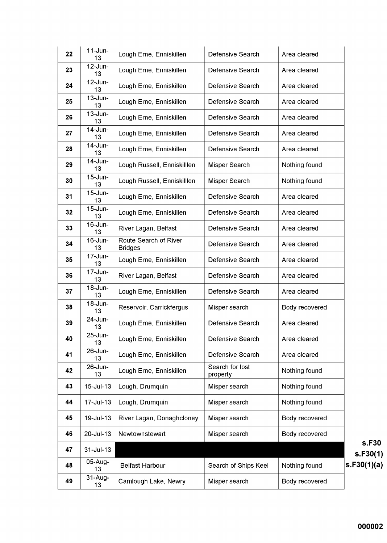| 22 | $11$ -Jun-<br>13   | Lough Erne, Enniskillen                 | Defensive Search            | Area cleared   |    |
|----|--------------------|-----------------------------------------|-----------------------------|----------------|----|
| 23 | 12-Jun-<br>13      | Lough Erne, Enniskillen                 | Defensive Search            | Area cleared   |    |
| 24 | 12-Jun-<br>13      | Lough Erne, Enniskillen                 | Defensive Search            | Area cleared   |    |
| 25 | $13$ -Jun-<br>13   | Lough Erne, Enniskillen                 | Defensive Search            | Area cleared   |    |
| 26 | $13$ -Jun-<br>13   | Lough Erne, Enniskillen                 | Defensive Search            | Area cleared   |    |
| 27 | 14-Jun-<br>13      | Lough Erne, Enniskillen                 | Defensive Search            | Area cleared   |    |
| 28 | 14-Jun-<br>13      | Lough Erne, Enniskillen                 | Defensive Search            | Area cleared   |    |
| 29 | $14$ -Jun-<br>13   | Lough Russell, Enniskilllen             | Misper Search               | Nothing found  |    |
| 30 | $15$ -Jun-<br>13   | Lough Russell, Enniskilllen             | Misper Search               | Nothing found  |    |
| 31 | $15$ -Jun-<br>13   | Lough Erne, Enniskillen                 | Defensive Search            | Area cleared   |    |
| 32 | $15$ -Jun-<br>13   | Lough Erne, Enniskillen                 | Defensive Search            | Area cleared   |    |
| 33 | 16-Jun-<br>13      | River Lagan, Belfast                    | Defensive Search            | Area cleared   |    |
| 34 | 16-Jun-<br>13      | Route Search of River<br><b>Bridges</b> | Defensive Search            | Area cleared   |    |
| 35 | 17-Jun-<br>13      | Lough Erne, Enniskillen                 | Defensive Search            | Area cleared   |    |
| 36 | 17-Jun-<br>13      | River Lagan, Belfast                    | Defensive Search            | Area cleared   |    |
| 37 | 18-Jun-<br>13      | Lough Erne, Enniskillen                 | Defensive Search            | Area cleared   |    |
| 38 | 18-Jun-<br>13      | Reservoir, Carrickfergus                | Misper search               | Body recovered |    |
| 39 | 24-Jun-<br>13      | Lough Erne, Enniskillen                 | Defensive Search            | Area cleared   |    |
| 40 | $25 - Jun -$<br>13 | Lough Erne, Enniskillen                 | Defensive Search            | Area cleared   |    |
| 41 | 26-Jun-<br>13      | Lough Erne, Enniskillen                 | Defensive Search            | Area cleared   |    |
| 42 | 26-Jun-<br>13      | Lough Erne, Enniskillen                 | Search for lost<br>property | Nothing found  |    |
| 43 | 15-Jul-13          | Lough, Drumquin                         | Misper search               | Nothing found  |    |
| 44 | 17-Jul-13          | Lough, Drumquin                         | Misper search               | Nothing found  |    |
| 45 | 19-Jul-13          | River Lagan, Donaghcloney               | Misper search               | Body recovered |    |
| 46 | 20-Jul-13          | Newtownstewart                          | Misper search               | Body recovered |    |
| 47 | $31 -$ Jul-13      |                                         |                             |                |    |
| 48 | 05-Aug-<br>13      | <b>Belfast Harbour</b>                  | Search of Ships Keel        | Nothing found  | S. |
| 49 | $31-Au$ g-<br>13   | Camlough Lake, Newry                    | Misper search               | Body recovered |    |

**s.F30**  $s.F30(1)$  $F30(1)(a)$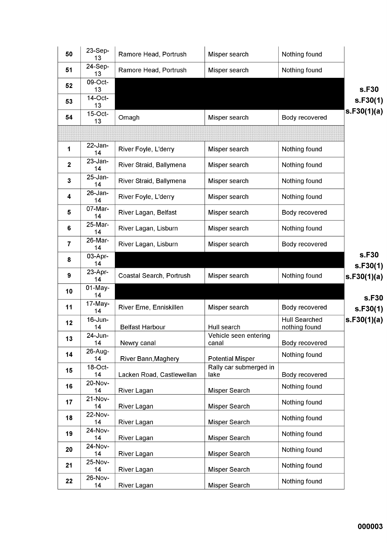| 50               | $23-Sep-$<br>13     | Ramore Head, Portrush      | Misper search                  | Nothing found                         |                   |
|------------------|---------------------|----------------------------|--------------------------------|---------------------------------------|-------------------|
| 51               | 24-Sep-<br>13       | Ramore Head, Portrush      | Misper search                  | Nothing found                         |                   |
| 52               | 09-Oct-<br>13       |                            |                                |                                       | s.F30             |
| 53               | 14-Oct-<br>13       |                            |                                |                                       | s.F30(1)          |
| 54               | $15$ -Oct-<br>13    | Omagh                      | Misper search                  | Body recovered                        | s.F30(1)(a)       |
|                  |                     |                            |                                |                                       |                   |
| 1                | 22-Jan-<br>14       | River Foyle, L'derry       | Misper search                  | Nothing found                         |                   |
| $\boldsymbol{2}$ | $23 - Jan -$<br>14  | River Straid, Ballymena    | Misper search                  | Nothing found                         |                   |
| $\mathbf{3}$     | $25 - Jan -$<br>14  | River Straid, Ballymena    | Misper search                  | Nothing found                         |                   |
| 4                | $26$ -Jan-<br>14    | River Foyle, L'derry       | Misper search                  | Nothing found                         |                   |
| 5                | $07$ -Mar-<br>14    | River Lagan, Belfast       | Misper search                  | Body recovered                        |                   |
| 6                | 25-Mar-<br>14       | River Lagan, Lisburn       | Misper search                  | Nothing found                         |                   |
| 7                | 26-Mar-<br>14       | River Lagan, Lisburn       | Misper search                  | Body recovered                        |                   |
| 8                | 03-Apr-<br>14       |                            |                                |                                       | s.F30<br>s.F30(1) |
|                  |                     |                            |                                |                                       |                   |
| 9                | 23-Apr-<br>14       | Coastal Search, Portrush   | Misper search                  | Nothing found                         | s.F30(1)(a)       |
| 10               | $01-May-$<br>14     |                            |                                |                                       |                   |
| 11               | 17-May-<br>14       | River Erne, Enniskillen    | Misper search                  | Body recovered                        | s.F30<br>s.F30(1) |
| 12               | 16-Jun-<br>14       | <b>Belfast Harbour</b>     | Hull search                    | <b>Hull Searched</b><br>nothing found | s.F30(1)(a)       |
| 13               | 24-Jun-<br>14       | Newry canal                | Vehicle seen entering<br>canal | Body recovered                        |                   |
| 14               | 26-Aug-<br>14       | River Bann, Maghery        | <b>Potential Misper</b>        | Nothing found                         |                   |
| 15               | $18$ -Oct-<br>14    | Lacken Road, Castlewellan  | Rally car submerged in<br>lake | Body recovered                        |                   |
| 16               | 20-Nov-<br>14       | River Lagan                | Misper Search                  | Nothing found                         |                   |
| 17               | 21-Nov-             |                            | Misper Search                  | Nothing found                         |                   |
| 18               | 14<br>22-Nov-<br>14 | River Lagan<br>River Lagan | Misper Search                  | Nothing found                         |                   |
| 19               | 24-Nov-<br>14       | River Lagan                | Misper Search                  | Nothing found                         |                   |
| 20               | 24-Nov-<br>14       | River Lagan                |                                | Nothing found                         |                   |
| 21               | 25-Nov-<br>14       | River Lagan                | Misper Search<br>Misper Search | Nothing found                         |                   |
| 22               | 26-Nov-<br>14       | River Lagan                | Misper Search                  | Nothing found                         |                   |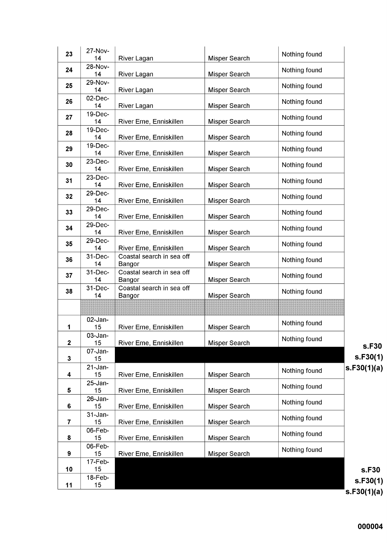| 23           | 27-Nov-<br>14      | River Lagan                         | Misper Search        | Nothing found |                         |
|--------------|--------------------|-------------------------------------|----------------------|---------------|-------------------------|
| 24           | 28-Nov-<br>14      | River Lagan                         | Misper Search        | Nothing found |                         |
| 25           | 29-Nov-<br>14      | River Lagan                         | Misper Search        | Nothing found |                         |
| 26           | $02$ -Dec-<br>14   | River Lagan                         | Misper Search        | Nothing found |                         |
| 27           | 19-Dec-<br>14      | River Erne, Enniskillen             | Misper Search        | Nothing found |                         |
| 28           | 19-Dec-<br>14      | River Erne, Enniskillen             | Misper Search        | Nothing found |                         |
| 29           | 19-Dec-<br>14      | River Erne, Enniskillen             | <b>Misper Search</b> | Nothing found |                         |
| 30           | 23-Dec-<br>14      | River Erne, Enniskillen             | Misper Search        | Nothing found |                         |
| 31           | 23-Dec-<br>14      | River Erne, Enniskillen             | Misper Search        | Nothing found |                         |
| 32           | 29-Dec-<br>14      | River Erne, Enniskillen             | Misper Search        | Nothing found |                         |
| 33           | 29-Dec-<br>14      | River Erne, Enniskillen             | <b>Misper Search</b> | Nothing found |                         |
| 34           | 29-Dec-<br>14      | River Erne, Enniskillen             | <b>Misper Search</b> | Nothing found |                         |
| 35           | 29-Dec-<br>14      | River Erne, Enniskillen             | Misper Search        | Nothing found |                         |
| 36           | 31-Dec-<br>14      | Coastal search in sea off<br>Bangor | Misper Search        | Nothing found |                         |
| 37           | 31-Dec-<br>14      | Coastal search in sea off<br>Bangor | Misper Search        | Nothing found |                         |
| 38           | 31-Dec-<br>14      | Coastal search in sea off<br>Bangor | Misper Search        | Nothing found |                         |
|              |                    |                                     |                      |               |                         |
| 1            | 02-Jan-<br>15      | River Erne, Enniskillen             | Misper Search        | Nothing found |                         |
| $\mathbf{2}$ | 03-Jan-<br>15      | River Erne, Enniskillen             | <b>Misper Search</b> | Nothing found | s.F30                   |
| $\mathbf{3}$ | $07 - Jan -$<br>15 |                                     |                      |               | s.F30(1)                |
| 4            | $21$ -Jan-<br>15   | River Erne, Enniskillen             | Misper Search        | Nothing found | s.F30(1)(a)             |
| 5            | $25 - Jan-$<br>15  | River Erne, Enniskillen             | Misper Search        | Nothing found |                         |
| 6            | 26-Jan-<br>15      | River Erne, Enniskillen             | Misper Search        | Nothing found |                         |
| 7            | $31 - Jan-$<br>15  | River Erne, Enniskillen             | Misper Search        | Nothing found |                         |
| 8            | 06-Feb-<br>15      | River Erne, Enniskillen             | Misper Search        | Nothing found |                         |
| 9            | 06-Feb-<br>15      | River Erne, Enniskillen             | Misper Search        | Nothing found |                         |
| 10           | 17-Feb-<br>15      |                                     |                      |               | s.F30                   |
| 11           | $18$ -Feb-<br>15   |                                     |                      |               | s.F30(1)<br>s.F30(1)(a) |